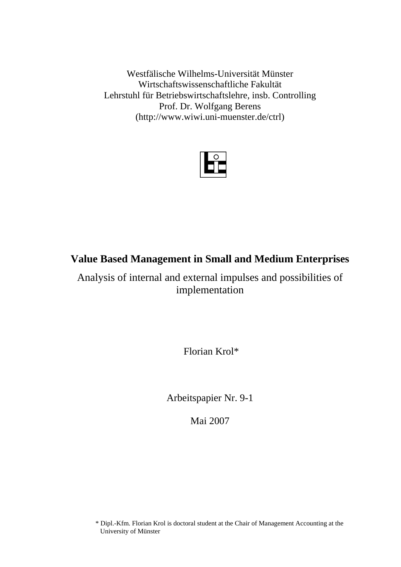Westfälische Wilhelms-Universität Münster Wirtschaftswissenschaftliche Fakultät Lehrstuhl für Betriebswirtschaftslehre, insb. Controlling Prof. Dr. Wolfgang Berens (http://www.wiwi.uni-muenster.de/ctrl)



# **Value Based Management in Small and Medium Enterprises**

Analysis of internal and external impulses and possibilities of implementation

Florian Krol\*

Arbeitspapier Nr. 9-1

Mai 2007

<sup>\*</sup> Dipl.-Kfm. Florian Krol is doctoral student at the Chair of Management Accounting at the University of Münster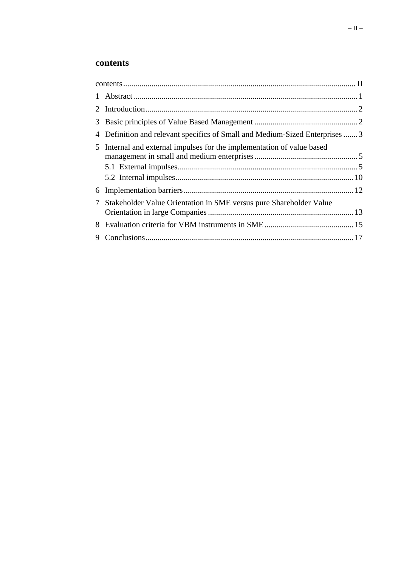# **contents**

|   | 4 Definition and relevant specifics of Small and Medium-Sized Enterprises  3 |  |
|---|------------------------------------------------------------------------------|--|
|   | 5 Internal and external impulses for the implementation of value based       |  |
|   |                                                                              |  |
| 7 | Stakeholder Value Orientation in SME versus pure Shareholder Value           |  |
|   |                                                                              |  |
| 9 |                                                                              |  |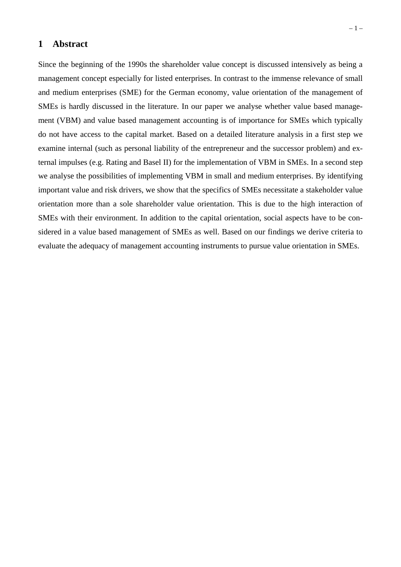### **1 Abstract**

Since the beginning of the 1990s the shareholder value concept is discussed intensively as being a management concept especially for listed enterprises. In contrast to the immense relevance of small and medium enterprises (SME) for the German economy, value orientation of the management of SMEs is hardly discussed in the literature. In our paper we analyse whether value based management (VBM) and value based management accounting is of importance for SMEs which typically do not have access to the capital market. Based on a detailed literature analysis in a first step we examine internal (such as personal liability of the entrepreneur and the successor problem) and external impulses (e.g. Rating and Basel II) for the implementation of VBM in SMEs. In a second step we analyse the possibilities of implementing VBM in small and medium enterprises. By identifying important value and risk drivers, we show that the specifics of SMEs necessitate a stakeholder value orientation more than a sole shareholder value orientation. This is due to the high interaction of SMEs with their environment. In addition to the capital orientation, social aspects have to be considered in a value based management of SMEs as well. Based on our findings we derive criteria to evaluate the adequacy of management accounting instruments to pursue value orientation in SMEs.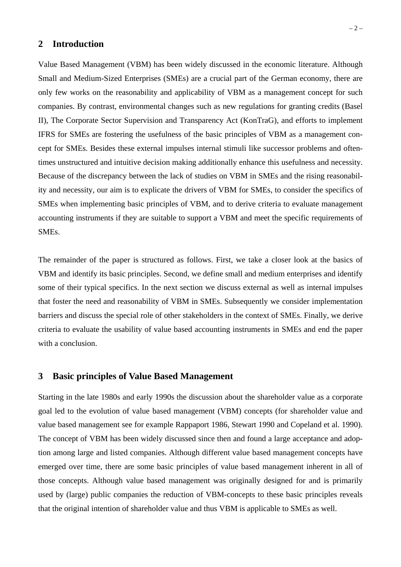## **2 Introduction**

Value Based Management (VBM) has been widely discussed in the economic literature. Although Small and Medium-Sized Enterprises (SMEs) are a crucial part of the German economy, there are only few works on the reasonability and applicability of VBM as a management concept for such companies. By contrast, environmental changes such as new regulations for granting credits (Basel II), The Corporate Sector Supervision and Transparency Act (KonTraG), and efforts to implement IFRS for SMEs are fostering the usefulness of the basic principles of VBM as a management concept for SMEs. Besides these external impulses internal stimuli like successor problems and oftentimes unstructured and intuitive decision making additionally enhance this usefulness and necessity. Because of the discrepancy between the lack of studies on VBM in SMEs and the rising reasonability and necessity, our aim is to explicate the drivers of VBM for SMEs, to consider the specifics of SMEs when implementing basic principles of VBM, and to derive criteria to evaluate management accounting instruments if they are suitable to support a VBM and meet the specific requirements of SMEs.

The remainder of the paper is structured as follows. First, we take a closer look at the basics of VBM and identify its basic principles. Second, we define small and medium enterprises and identify some of their typical specifics. In the next section we discuss external as well as internal impulses that foster the need and reasonability of VBM in SMEs. Subsequently we consider implementation barriers and discuss the special role of other stakeholders in the context of SMEs. Finally, we derive criteria to evaluate the usability of value based accounting instruments in SMEs and end the paper with a conclusion.

### **3 Basic principles of Value Based Management**

Starting in the late 1980s and early 1990s the discussion about the shareholder value as a corporate goal led to the evolution of value based management (VBM) concepts (for shareholder value and value based management see for example Rappaport 1986, Stewart 1990 and Copeland et al. 1990). The concept of VBM has been widely discussed since then and found a large acceptance and adoption among large and listed companies. Although different value based management concepts have emerged over time, there are some basic principles of value based management inherent in all of those concepts. Although value based management was originally designed for and is primarily used by (large) public companies the reduction of VBM-concepts to these basic principles reveals that the original intention of shareholder value and thus VBM is applicable to SMEs as well.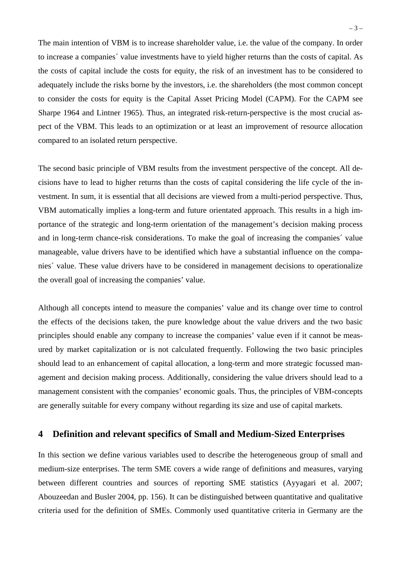The main intention of VBM is to increase shareholder value, i.e. the value of the company. In order to increase a companies´ value investments have to yield higher returns than the costs of capital. As the costs of capital include the costs for equity, the risk of an investment has to be considered to adequately include the risks borne by the investors, i.e. the shareholders (the most common concept to consider the costs for equity is the Capital Asset Pricing Model (CAPM). For the CAPM see Sharpe 1964 and Lintner 1965). Thus, an integrated risk-return-perspective is the most crucial aspect of the VBM. This leads to an optimization or at least an improvement of resource allocation compared to an isolated return perspective.

The second basic principle of VBM results from the investment perspective of the concept. All decisions have to lead to higher returns than the costs of capital considering the life cycle of the investment. In sum, it is essential that all decisions are viewed from a multi-period perspective. Thus, VBM automatically implies a long-term and future orientated approach. This results in a high importance of the strategic and long-term orientation of the management's decision making process and in long-term chance-risk considerations. To make the goal of increasing the companies´ value manageable, value drivers have to be identified which have a substantial influence on the companies´ value. These value drivers have to be considered in management decisions to operationalize the overall goal of increasing the companies' value.

Although all concepts intend to measure the companies' value and its change over time to control the effects of the decisions taken, the pure knowledge about the value drivers and the two basic principles should enable any company to increase the companies' value even if it cannot be measured by market capitalization or is not calculated frequently. Following the two basic principles should lead to an enhancement of capital allocation, a long-term and more strategic focussed management and decision making process. Additionally, considering the value drivers should lead to a management consistent with the companies' economic goals. Thus, the principles of VBM-concepts are generally suitable for every company without regarding its size and use of capital markets.

## **4 Definition and relevant specifics of Small and Medium-Sized Enterprises**

In this section we define various variables used to describe the heterogeneous group of small and medium-size enterprises. The term SME covers a wide range of definitions and measures, varying between different countries and sources of reporting SME statistics (Ayyagari et al. 2007; Abouzeedan and Busler 2004, pp. 156). It can be distinguished between quantitative and qualitative criteria used for the definition of SMEs. Commonly used quantitative criteria in Germany are the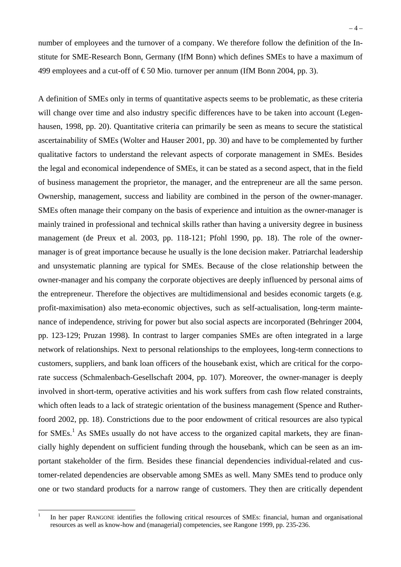number of employees and the turnover of a company. We therefore follow the definition of the Institute for SME-Research Bonn, Germany (IfM Bonn) which defines SMEs to have a maximum of 499 employees and a cut-off of  $\epsilon$ 50 Mio. turnover per annum (IfM Bonn 2004, pp. 3).

A definition of SMEs only in terms of quantitative aspects seems to be problematic, as these criteria will change over time and also industry specific differences have to be taken into account (Legenhausen, 1998, pp. 20). Quantitative criteria can primarily be seen as means to secure the statistical ascertainability of SMEs (Wolter and Hauser 2001, pp. 30) and have to be complemented by further qualitative factors to understand the relevant aspects of corporate management in SMEs. Besides the legal and economical independence of SMEs, it can be stated as a second aspect, that in the field of business management the proprietor, the manager, and the entrepreneur are all the same person. Ownership, management, success and liability are combined in the person of the owner-manager. SMEs often manage their company on the basis of experience and intuition as the owner-manager is mainly trained in professional and technical skills rather than having a university degree in business management (de Preux et al. 2003, pp. 118-121; Pfohl 1990, pp. 18). The role of the ownermanager is of great importance because he usually is the lone decision maker. Patriarchal leadership and unsystematic planning are typical for SMEs. Because of the close relationship between the owner-manager and his company the corporate objectives are deeply influenced by personal aims of the entrepreneur. Therefore the objectives are multidimensional and besides economic targets (e.g. profit-maximisation) also meta-economic objectives, such as self-actualisation, long-term maintenance of independence, striving for power but also social aspects are incorporated (Behringer 2004, pp. 123-129; Pruzan 1998). In contrast to larger companies SMEs are often integrated in a large network of relationships. Next to personal relationships to the employees, long-term connections to customers, suppliers, and bank loan officers of the housebank exist, which are critical for the corporate success (Schmalenbach-Gesellschaft 2004, pp. 107). Moreover, the owner-manager is deeply involved in short-term, operative activities and his work suffers from cash flow related constraints, which often leads to a lack of strategic orientation of the business management (Spence and Rutherfoord 2002, pp. 18). Constrictions due to the poor endowment of critical resources are also typical for SMEs.<sup>1</sup> As SMEs usually do not have access to the organized capital markets, they are financially highly dependent on sufficient funding through the housebank, which can be seen as an important stakeholder of the firm. Besides these financial dependencies individual-related and customer-related dependencies are observable among SMEs as well. Many SMEs tend to produce only one or two standard products for a narrow range of customers. They then are critically dependent

 $\frac{1}{1}$ 

In her paper RANGONE identifies the following critical resources of SMEs: financial, human and organisational resources as well as know-how and (managerial) competencies, see Rangone 1999, pp. 235-236.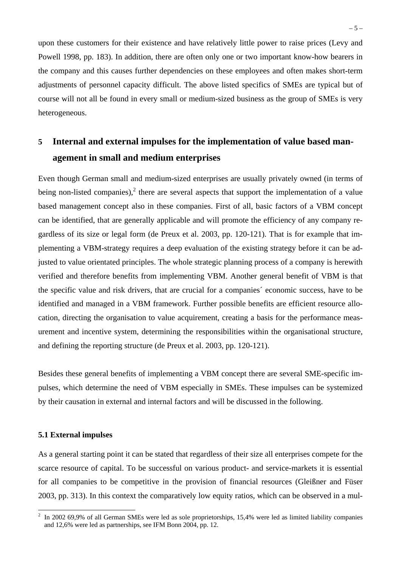upon these customers for their existence and have relatively little power to raise prices (Levy and Powell 1998, pp. 183). In addition, there are often only one or two important know-how bearers in the company and this causes further dependencies on these employees and often makes short-term adjustments of personnel capacity difficult. The above listed specifics of SMEs are typical but of course will not all be found in every small or medium-sized business as the group of SMEs is very heterogeneous.

# **5 Internal and external impulses for the implementation of value based management in small and medium enterprises**

Even though German small and medium-sized enterprises are usually privately owned (in terms of being non-listed companies),<sup>2</sup> there are several aspects that support the implementation of a value based management concept also in these companies. First of all, basic factors of a VBM concept can be identified, that are generally applicable and will promote the efficiency of any company regardless of its size or legal form (de Preux et al. 2003, pp. 120-121). That is for example that implementing a VBM-strategy requires a deep evaluation of the existing strategy before it can be adjusted to value orientated principles. The whole strategic planning process of a company is herewith verified and therefore benefits from implementing VBM. Another general benefit of VBM is that the specific value and risk drivers, that are crucial for a companies´ economic success, have to be identified and managed in a VBM framework. Further possible benefits are efficient resource allocation, directing the organisation to value acquirement, creating a basis for the performance measurement and incentive system, determining the responsibilities within the organisational structure, and defining the reporting structure (de Preux et al. 2003, pp. 120-121).

Besides these general benefits of implementing a VBM concept there are several SME-specific impulses, which determine the need of VBM especially in SMEs. These impulses can be systemized by their causation in external and internal factors and will be discussed in the following.

#### **5.1 External impulses**

As a general starting point it can be stated that regardless of their size all enterprises compete for the scarce resource of capital. To be successful on various product- and service-markets it is essential for all companies to be competitive in the provision of financial resources (Gleißner and Füser 2003, pp. 313). In this context the comparatively low equity ratios, which can be observed in a mul-

<sup>&</sup>lt;sup>2</sup> In 2002 69,9% of all German SMEs were led as sole proprietorships, 15,4% were led as limited liability companies and 12,6% were led as partnerships, see IFM Bonn 2004, pp. 12.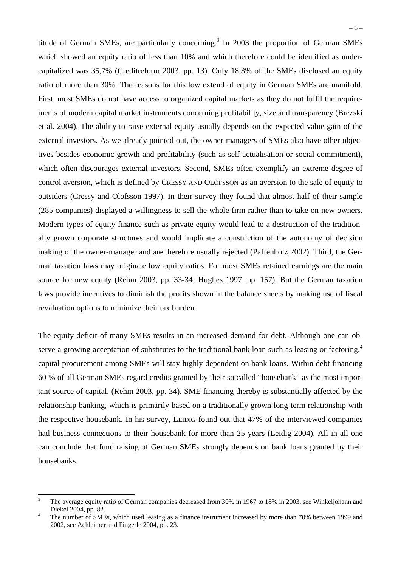titude of German SMEs, are particularly concerning.<sup>3</sup> In 2003 the proportion of German SMEs which showed an equity ratio of less than 10% and which therefore could be identified as undercapitalized was 35,7% (Creditreform 2003, pp. 13). Only 18,3% of the SMEs disclosed an equity ratio of more than 30%. The reasons for this low extend of equity in German SMEs are manifold. First, most SMEs do not have access to organized capital markets as they do not fulfil the requirements of modern capital market instruments concerning profitability, size and transparency (Brezski et al. 2004). The ability to raise external equity usually depends on the expected value gain of the external investors. As we already pointed out, the owner-managers of SMEs also have other objectives besides economic growth and profitability (such as self-actualisation or social commitment), which often discourages external investors. Second, SMEs often exemplify an extreme degree of control aversion, which is defined by CRESSY AND OLOFSSON as an aversion to the sale of equity to outsiders (Cressy and Olofsson 1997). In their survey they found that almost half of their sample (285 companies) displayed a willingness to sell the whole firm rather than to take on new owners. Modern types of equity finance such as private equity would lead to a destruction of the traditionally grown corporate structures and would implicate a constriction of the autonomy of decision making of the owner-manager and are therefore usually rejected (Paffenholz 2002). Third, the German taxation laws may originate low equity ratios. For most SMEs retained earnings are the main source for new equity (Rehm 2003, pp. 33-34; Hughes 1997, pp. 157). But the German taxation laws provide incentives to diminish the profits shown in the balance sheets by making use of fiscal revaluation options to minimize their tax burden.

The equity-deficit of many SMEs results in an increased demand for debt. Although one can observe a growing acceptation of substitutes to the traditional bank loan such as leasing or factoring,<sup>4</sup> capital procurement among SMEs will stay highly dependent on bank loans. Within debt financing 60 % of all German SMEs regard credits granted by their so called "housebank" as the most important source of capital. (Rehm 2003, pp. 34). SME financing thereby is substantially affected by the relationship banking, which is primarily based on a traditionally grown long-term relationship with the respective housebank. In his survey, LEIDIG found out that 47% of the interviewed companies had business connections to their housebank for more than 25 years (Leidig 2004). All in all one can conclude that fund raising of German SMEs strongly depends on bank loans granted by their housebanks.

<sup>&</sup>lt;sup>2</sup><br>3 The average equity ratio of German companies decreased from 30% in 1967 to 18% in 2003, see Winkeljohann and Diekel 2004, pp. 82.

The number of SMEs, which used leasing as a finance instrument increased by more than 70% between 1999 and 2002, see Achleitner and Fingerle 2004, pp. 23.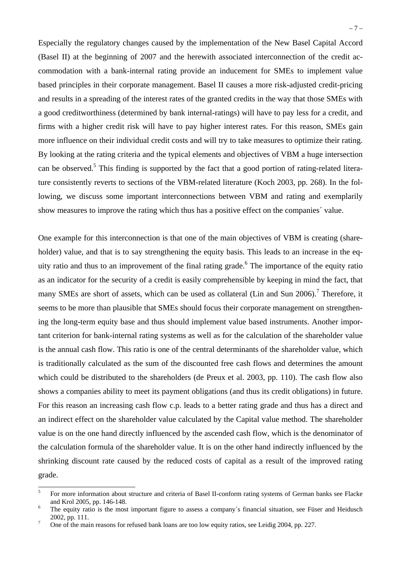Especially the regulatory changes caused by the implementation of the New Basel Capital Accord (Basel II) at the beginning of 2007 and the herewith associated interconnection of the credit accommodation with a bank-internal rating provide an inducement for SMEs to implement value based principles in their corporate management. Basel II causes a more risk-adjusted credit-pricing and results in a spreading of the interest rates of the granted credits in the way that those SMEs with a good creditworthiness (determined by bank internal-ratings) will have to pay less for a credit, and firms with a higher credit risk will have to pay higher interest rates. For this reason, SMEs gain more influence on their individual credit costs and will try to take measures to optimize their rating. By looking at the rating criteria and the typical elements and objectives of VBM a huge intersection can be observed.<sup>5</sup> This finding is supported by the fact that a good portion of rating-related literature consistently reverts to sections of the VBM-related literature (Koch 2003, pp. 268). In the following, we discuss some important interconnections between VBM and rating and exemplarily show measures to improve the rating which thus has a positive effect on the companies´ value.

One example for this interconnection is that one of the main objectives of VBM is creating (shareholder) value, and that is to say strengthening the equity basis. This leads to an increase in the equity ratio and thus to an improvement of the final rating grade.<sup>6</sup> The importance of the equity ratio as an indicator for the security of a credit is easily comprehensible by keeping in mind the fact, that many SMEs are short of assets, which can be used as collateral (Lin and Sun 2006).<sup>7</sup> Therefore, it seems to be more than plausible that SMEs should focus their corporate management on strengthening the long-term equity base and thus should implement value based instruments. Another important criterion for bank-internal rating systems as well as for the calculation of the shareholder value is the annual cash flow. This ratio is one of the central determinants of the shareholder value, which is traditionally calculated as the sum of the discounted free cash flows and determines the amount which could be distributed to the shareholders (de Preux et al. 2003, pp. 110). The cash flow also shows a companies ability to meet its payment obligations (and thus its credit obligations) in future. For this reason an increasing cash flow c.p. leads to a better rating grade and thus has a direct and an indirect effect on the shareholder value calculated by the Capital value method. The shareholder value is on the one hand directly influenced by the ascended cash flow, which is the denominator of the calculation formula of the shareholder value. It is on the other hand indirectly influenced by the shrinking discount rate caused by the reduced costs of capital as a result of the improved rating grade.

 5 For more information about structure and criteria of Basel II-conform rating systems of German banks see Flacke and Krol 2005, pp. 146-148.

The equity ratio is the most important figure to assess a company´s financial situation, see Füser and Heidusch  $^{7}$  2002, pp. 111.

One of the main reasons for refused bank loans are too low equity ratios, see Leidig 2004, pp. 227.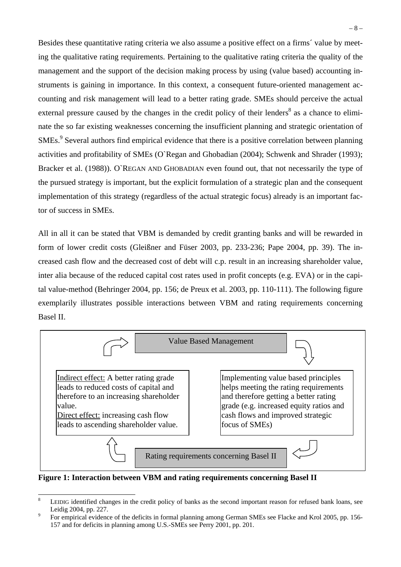Besides these quantitative rating criteria we also assume a positive effect on a firms´ value by meeting the qualitative rating requirements. Pertaining to the qualitative rating criteria the quality of the management and the support of the decision making process by using (value based) accounting instruments is gaining in importance. In this context, a consequent future-oriented management accounting and risk management will lead to a better rating grade. SMEs should perceive the actual external pressure caused by the changes in the credit policy of their lenders<sup>8</sup> as a chance to eliminate the so far existing weaknesses concerning the insufficient planning and strategic orientation of SMEs.<sup>9</sup> Several authors find empirical evidence that there is a positive correlation between planning activities and profitability of SMEs (O`Regan and Ghobadian (2004); Schwenk and Shrader (1993); Bracker et al. (1988)). O`REGAN AND GHOBADIAN even found out, that not necessarily the type of the pursued strategy is important, but the explicit formulation of a strategic plan and the consequent implementation of this strategy (regardless of the actual strategic focus) already is an important factor of success in SMEs.

All in all it can be stated that VBM is demanded by credit granting banks and will be rewarded in form of lower credit costs (Gleißner and Füser 2003, pp. 233-236; Pape 2004, pp. 39). The increased cash flow and the decreased cost of debt will c.p. result in an increasing shareholder value, inter alia because of the reduced capital cost rates used in profit concepts (e.g. EVA) or in the capital value-method (Behringer 2004, pp. 156; de Preux et al. 2003, pp. 110-111). The following figure exemplarily illustrates possible interactions between VBM and rating requirements concerning Basel II.



**Figure 1: Interaction between VBM and rating requirements concerning Basel II** 

 8 LEIDIG identified changes in the credit policy of banks as the second important reason for refused bank loans, see Leidig 2004, pp. 227.

For empirical evidence of the deficits in formal planning among German SMEs see Flacke and Krol 2005, pp. 156- 157 and for deficits in planning among U.S.-SMEs see Perry 2001, pp. 201.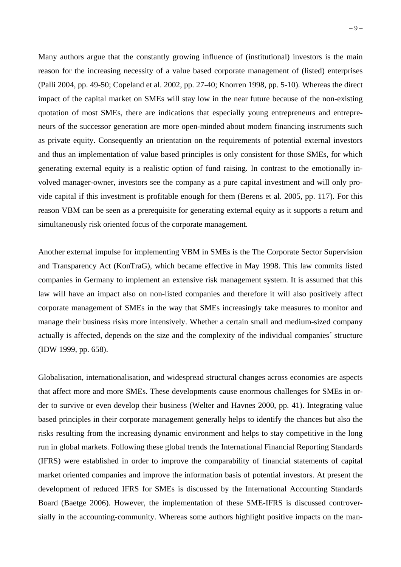Many authors argue that the constantly growing influence of (institutional) investors is the main reason for the increasing necessity of a value based corporate management of (listed) enterprises (Palli 2004, pp. 49-50; Copeland et al. 2002, pp. 27-40; Knorren 1998, pp. 5-10). Whereas the direct impact of the capital market on SMEs will stay low in the near future because of the non-existing quotation of most SMEs, there are indications that especially young entrepreneurs and entrepreneurs of the successor generation are more open-minded about modern financing instruments such as private equity. Consequently an orientation on the requirements of potential external investors and thus an implementation of value based principles is only consistent for those SMEs, for which generating external equity is a realistic option of fund raising. In contrast to the emotionally involved manager-owner, investors see the company as a pure capital investment and will only provide capital if this investment is profitable enough for them (Berens et al. 2005, pp. 117). For this reason VBM can be seen as a prerequisite for generating external equity as it supports a return and simultaneously risk oriented focus of the corporate management.

Another external impulse for implementing VBM in SMEs is the The Corporate Sector Supervision and Transparency Act (KonTraG), which became effective in May 1998. This law commits listed companies in Germany to implement an extensive risk management system. It is assumed that this law will have an impact also on non-listed companies and therefore it will also positively affect corporate management of SMEs in the way that SMEs increasingly take measures to monitor and manage their business risks more intensively. Whether a certain small and medium-sized company actually is affected, depends on the size and the complexity of the individual companies´ structure (IDW 1999, pp. 658).

Globalisation, internationalisation, and widespread structural changes across economies are aspects that affect more and more SMEs. These developments cause enormous challenges for SMEs in order to survive or even develop their business (Welter and Havnes 2000, pp. 41). Integrating value based principles in their corporate management generally helps to identify the chances but also the risks resulting from the increasing dynamic environment and helps to stay competitive in the long run in global markets. Following these global trends the International Financial Reporting Standards (IFRS) were established in order to improve the comparability of financial statements of capital market oriented companies and improve the information basis of potential investors. At present the development of reduced IFRS for SMEs is discussed by the International Accounting Standards Board (Baetge 2006). However, the implementation of these SME-IFRS is discussed controversially in the accounting-community. Whereas some authors highlight positive impacts on the man-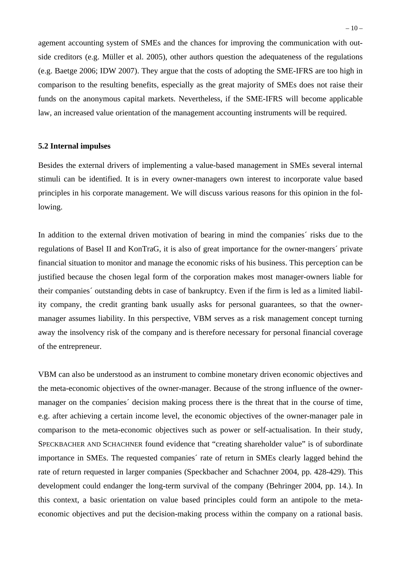agement accounting system of SMEs and the chances for improving the communication with outside creditors (e.g. Müller et al. 2005), other authors question the adequateness of the regulations (e.g. Baetge 2006; IDW 2007). They argue that the costs of adopting the SME-IFRS are too high in comparison to the resulting benefits, especially as the great majority of SMEs does not raise their funds on the anonymous capital markets. Nevertheless, if the SME-IFRS will become applicable law, an increased value orientation of the management accounting instruments will be required.

#### **5.2 Internal impulses**

Besides the external drivers of implementing a value-based management in SMEs several internal stimuli can be identified. It is in every owner-managers own interest to incorporate value based principles in his corporate management. We will discuss various reasons for this opinion in the following.

In addition to the external driven motivation of bearing in mind the companies´ risks due to the regulations of Basel II and KonTraG, it is also of great importance for the owner-mangers´ private financial situation to monitor and manage the economic risks of his business. This perception can be justified because the chosen legal form of the corporation makes most manager-owners liable for their companies´ outstanding debts in case of bankruptcy. Even if the firm is led as a limited liability company, the credit granting bank usually asks for personal guarantees, so that the ownermanager assumes liability. In this perspective, VBM serves as a risk management concept turning away the insolvency risk of the company and is therefore necessary for personal financial coverage of the entrepreneur.

VBM can also be understood as an instrument to combine monetary driven economic objectives and the meta-economic objectives of the owner-manager. Because of the strong influence of the ownermanager on the companies´ decision making process there is the threat that in the course of time, e.g. after achieving a certain income level, the economic objectives of the owner-manager pale in comparison to the meta-economic objectives such as power or self-actualisation. In their study, SPECKBACHER AND SCHACHNER found evidence that "creating shareholder value" is of subordinate importance in SMEs. The requested companies´ rate of return in SMEs clearly lagged behind the rate of return requested in larger companies (Speckbacher and Schachner 2004, pp. 428-429). This development could endanger the long-term survival of the company (Behringer 2004, pp. 14.). In this context, a basic orientation on value based principles could form an antipole to the metaeconomic objectives and put the decision-making process within the company on a rational basis.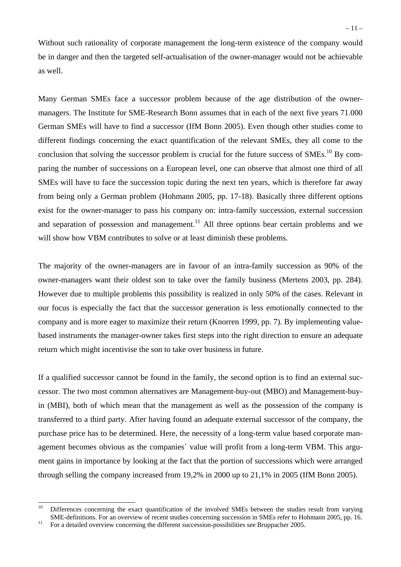Without such rationality of corporate management the long-term existence of the company would be in danger and then the targeted self-actualisation of the owner-manager would not be achievable as well.

Many German SMEs face a successor problem because of the age distribution of the ownermanagers. The Institute for SME-Research Bonn assumes that in each of the next five years 71.000 German SMEs will have to find a successor (IfM Bonn 2005). Even though other studies come to different findings concerning the exact quantification of the relevant SMEs, they all come to the conclusion that solving the successor problem is crucial for the future success of SMEs.<sup>10</sup> By comparing the number of successions on a European level, one can observe that almost one third of all SMEs will have to face the succession topic during the next ten years, which is therefore far away from being only a German problem (Hohmann 2005, pp. 17-18). Basically three different options exist for the owner-manager to pass his company on: intra-family succession, external succession and separation of possession and management.<sup>11</sup> All three options bear certain problems and we will show how VBM contributes to solve or at least diminish these problems.

The majority of the owner-managers are in favour of an intra-family succession as 90% of the owner-managers want their oldest son to take over the family business (Mertens 2003, pp. 284). However due to multiple problems this possibility is realized in only 50% of the cases. Relevant in our focus is especially the fact that the successor generation is less emotionally connected to the company and is more eager to maximize their return (Knorren 1999, pp. 7). By implementing valuebased instruments the manager-owner takes first steps into the right direction to ensure an adequate return which might incentivise the son to take over business in future.

If a qualified successor cannot be found in the family, the second option is to find an external successor. The two most common alternatives are Management-buy-out (MBO) and Management-buyin (MBI), both of which mean that the management as well as the possession of the company is transferred to a third party. After having found an adequate external successor of the company, the purchase price has to be determined. Here, the necessity of a long-term value based corporate management becomes obvious as the companies´ value will profit from a long-term VBM. This argument gains in importance by looking at the fact that the portion of successions which were arranged through selling the company increased from 19,2% in 2000 up to 21,1% in 2005 (IfM Bonn 2005).

 $10$ 10 Differences concerning the exact quantification of the involved SMEs between the studies result from varying SME-definitions. For an overview of recent studies concerning succession in SMEs refer to Hohmann 2005, pp. 16. <sup>11</sup> For a detailed overview concerning the different succession-possibilities see Bruppacher 2005.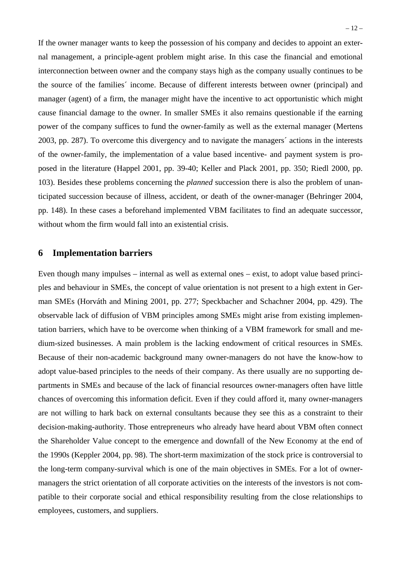If the owner manager wants to keep the possession of his company and decides to appoint an external management, a principle-agent problem might arise. In this case the financial and emotional interconnection between owner and the company stays high as the company usually continues to be the source of the families´ income. Because of different interests between owner (principal) and manager (agent) of a firm, the manager might have the incentive to act opportunistic which might cause financial damage to the owner. In smaller SMEs it also remains questionable if the earning power of the company suffices to fund the owner-family as well as the external manager (Mertens 2003, pp. 287). To overcome this divergency and to navigate the managers´ actions in the interests of the owner-family, the implementation of a value based incentive- and payment system is proposed in the literature (Happel 2001, pp. 39-40; Keller and Plack 2001, pp. 350; Riedl 2000, pp. 103). Besides these problems concerning the *planned* succession there is also the problem of unanticipated succession because of illness, accident, or death of the owner-manager (Behringer 2004, pp. 148). In these cases a beforehand implemented VBM facilitates to find an adequate successor, without whom the firm would fall into an existential crisis.

### **6 Implementation barriers**

Even though many impulses – internal as well as external ones – exist, to adopt value based principles and behaviour in SMEs, the concept of value orientation is not present to a high extent in German SMEs (Horváth and Mining 2001, pp. 277; Speckbacher and Schachner 2004, pp. 429). The observable lack of diffusion of VBM principles among SMEs might arise from existing implementation barriers, which have to be overcome when thinking of a VBM framework for small and medium-sized businesses. A main problem is the lacking endowment of critical resources in SMEs. Because of their non-academic background many owner-managers do not have the know-how to adopt value-based principles to the needs of their company. As there usually are no supporting departments in SMEs and because of the lack of financial resources owner-managers often have little chances of overcoming this information deficit. Even if they could afford it, many owner-managers are not willing to hark back on external consultants because they see this as a constraint to their decision-making-authority. Those entrepreneurs who already have heard about VBM often connect the Shareholder Value concept to the emergence and downfall of the New Economy at the end of the 1990s (Keppler 2004, pp. 98). The short-term maximization of the stock price is controversial to the long-term company-survival which is one of the main objectives in SMEs. For a lot of ownermanagers the strict orientation of all corporate activities on the interests of the investors is not compatible to their corporate social and ethical responsibility resulting from the close relationships to employees, customers, and suppliers.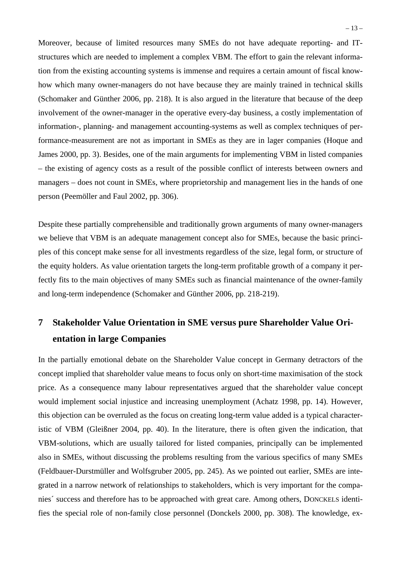Moreover, because of limited resources many SMEs do not have adequate reporting- and ITstructures which are needed to implement a complex VBM. The effort to gain the relevant information from the existing accounting systems is immense and requires a certain amount of fiscal knowhow which many owner-managers do not have because they are mainly trained in technical skills (Schomaker and Günther 2006, pp. 218). It is also argued in the literature that because of the deep involvement of the owner-manager in the operative every-day business, a costly implementation of information-, planning- and management accounting-systems as well as complex techniques of performance-measurement are not as important in SMEs as they are in lager companies (Hoque and James 2000, pp. 3). Besides, one of the main arguments for implementing VBM in listed companies – the existing of agency costs as a result of the possible conflict of interests between owners and managers – does not count in SMEs, where proprietorship and management lies in the hands of one person (Peemöller and Faul 2002, pp. 306).

Despite these partially comprehensible and traditionally grown arguments of many owner-managers we believe that VBM is an adequate management concept also for SMEs, because the basic principles of this concept make sense for all investments regardless of the size, legal form, or structure of the equity holders. As value orientation targets the long-term profitable growth of a company it perfectly fits to the main objectives of many SMEs such as financial maintenance of the owner-family and long-term independence (Schomaker and Günther 2006, pp. 218-219).

# **7 Stakeholder Value Orientation in SME versus pure Shareholder Value Orientation in large Companies**

In the partially emotional debate on the Shareholder Value concept in Germany detractors of the concept implied that shareholder value means to focus only on short-time maximisation of the stock price. As a consequence many labour representatives argued that the shareholder value concept would implement social injustice and increasing unemployment (Achatz 1998, pp. 14). However, this objection can be overruled as the focus on creating long-term value added is a typical characteristic of VBM (Gleißner 2004, pp. 40). In the literature, there is often given the indication, that VBM-solutions, which are usually tailored for listed companies, principally can be implemented also in SMEs, without discussing the problems resulting from the various specifics of many SMEs (Feldbauer-Durstmüller and Wolfsgruber 2005, pp. 245). As we pointed out earlier, SMEs are integrated in a narrow network of relationships to stakeholders, which is very important for the companies´ success and therefore has to be approached with great care. Among others, DONCKELS identifies the special role of non-family close personnel (Donckels 2000, pp. 308). The knowledge, ex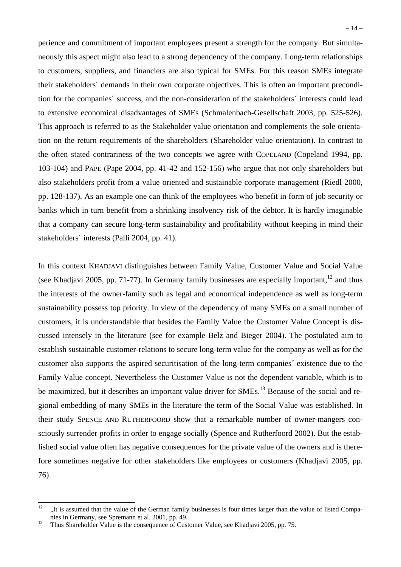perience and commitment of important employees present a strength for the company. But simultaneously this aspect might also lead to a strong dependency of the company. Long-term relationships to customers, suppliers, and financiers are also typical for SMEs. For this reason SMEs integrate their stakeholders´ demands in their own corporate objectives. This is often an important precondition for the companies´ success, and the non-consideration of the stakeholders´ interests could lead to extensive economical disadvantages of SMEs (Schmalenbach-Gesellschaft 2003, pp. 525-526). This approach is referred to as the Stakeholder value orientation and complements the sole orientation on the return requirements of the shareholders (Shareholder value orientation). In contrast to the often stated contrariness of the two concepts we agree with COPELAND (Copeland 1994, pp. 103-104) and PAPE (Pape 2004, pp. 41-42 and 152-156) who argue that not only shareholders but also stakeholders profit from a value oriented and sustainable corporate management (Riedl 2000, pp. 128-137). As an example one can think of the employees who benefit in form of job security or banks which in turn benefit from a shrinking insolvency risk of the debtor. It is hardly imaginable that a company can secure long-term sustainability and profitability without keeping in mind their stakeholders´ interests (Palli 2004, pp. 41).

In this context KHADJAVI distinguishes between Family Value, Customer Value and Social Value (see Khadjavi 2005, pp. 71-77). In Germany family businesses are especially important,  $^{12}$  and thus the interests of the owner-family such as legal and economical independence as well as long-term sustainability possess top priority. In view of the dependency of many SMEs on a small number of customers, it is understandable that besides the Family Value the Customer Value Concept is discussed intensely in the literature (see for example Belz and Bieger 2004). The postulated aim to establish sustainable customer-relations to secure long-term value for the company as well as for the customer also supports the aspired securitisation of the long-term companies´ existence due to the Family Value concept. Nevertheless the Customer Value is not the dependent variable, which is to be maximized, but it describes an important value driver for  $SMEs$ <sup>13</sup> Because of the social and regional embedding of many SMEs in the literature the term of the Social Value was established. In their study SPENCE AND RUTHERFOORD show that a remarkable number of owner-mangers consciously surrender profits in order to engage socially (Spence and Rutherfoord 2002). But the established social value often has negative consequences for the private value of the owners and is therefore sometimes negative for other stakeholders like employees or customers (Khadjavi 2005, pp. 76).

 $12$ ., It is assumed that the value of the German family businesses is four times larger than the value of listed Companies in Germany, see Spremann et al. 2001, pp. 49.<br><sup>13</sup> Thus Shareholder Value is the consequence of Customer Value, see Khadjavi 2005, pp. 75.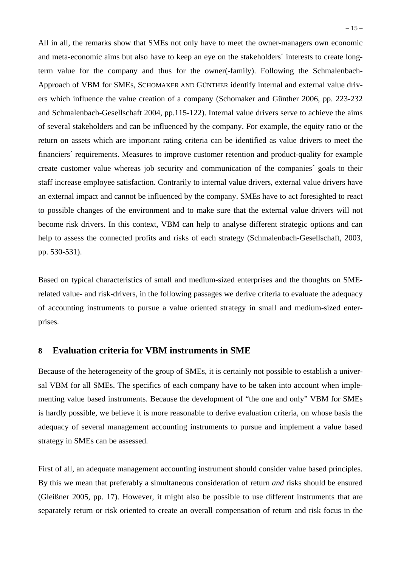All in all, the remarks show that SMEs not only have to meet the owner-managers own economic and meta-economic aims but also have to keep an eye on the stakeholders´ interests to create longterm value for the company and thus for the owner(-family). Following the Schmalenbach-Approach of VBM for SMEs, SCHOMAKER AND GÜNTHER identify internal and external value drivers which influence the value creation of a company (Schomaker and Günther 2006, pp. 223-232 and Schmalenbach-Gesellschaft 2004, pp.115-122). Internal value drivers serve to achieve the aims of several stakeholders and can be influenced by the company. For example, the equity ratio or the return on assets which are important rating criteria can be identified as value drivers to meet the financiers´ requirements. Measures to improve customer retention and product-quality for example create customer value whereas job security and communication of the companies´ goals to their staff increase employee satisfaction. Contrarily to internal value drivers, external value drivers have an external impact and cannot be influenced by the company. SMEs have to act foresighted to react to possible changes of the environment and to make sure that the external value drivers will not become risk drivers. In this context, VBM can help to analyse different strategic options and can help to assess the connected profits and risks of each strategy (Schmalenbach-Gesellschaft, 2003, pp. 530-531).

Based on typical characteristics of small and medium-sized enterprises and the thoughts on SMErelated value- and risk-drivers, in the following passages we derive criteria to evaluate the adequacy of accounting instruments to pursue a value oriented strategy in small and medium-sized enterprises.

## **8 Evaluation criteria for VBM instruments in SME**

Because of the heterogeneity of the group of SMEs, it is certainly not possible to establish a universal VBM for all SMEs. The specifics of each company have to be taken into account when implementing value based instruments. Because the development of "the one and only" VBM for SMEs is hardly possible, we believe it is more reasonable to derive evaluation criteria, on whose basis the adequacy of several management accounting instruments to pursue and implement a value based strategy in SMEs can be assessed.

First of all, an adequate management accounting instrument should consider value based principles. By this we mean that preferably a simultaneous consideration of return *and* risks should be ensured (Gleißner 2005, pp. 17). However, it might also be possible to use different instruments that are separately return or risk oriented to create an overall compensation of return and risk focus in the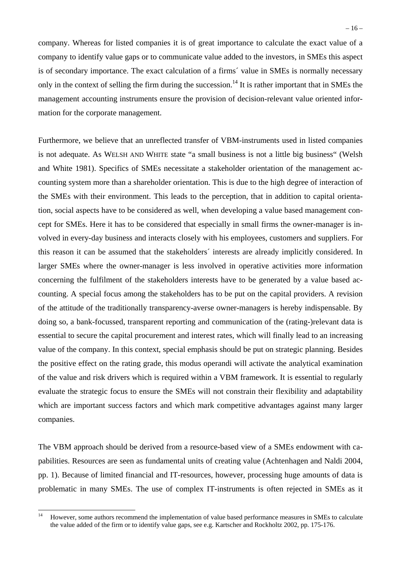company. Whereas for listed companies it is of great importance to calculate the exact value of a company to identify value gaps or to communicate value added to the investors, in SMEs this aspect is of secondary importance. The exact calculation of a firms´ value in SMEs is normally necessary only in the context of selling the firm during the succession.<sup>14</sup> It is rather important that in SMEs the management accounting instruments ensure the provision of decision-relevant value oriented information for the corporate management.

Furthermore, we believe that an unreflected transfer of VBM-instruments used in listed companies is not adequate. As WELSH AND WHITE state "a small business is not a little big business" (Welsh and White 1981). Specifics of SMEs necessitate a stakeholder orientation of the management accounting system more than a shareholder orientation. This is due to the high degree of interaction of the SMEs with their environment. This leads to the perception, that in addition to capital orientation, social aspects have to be considered as well, when developing a value based management concept for SMEs. Here it has to be considered that especially in small firms the owner-manager is involved in every-day business and interacts closely with his employees, customers and suppliers. For this reason it can be assumed that the stakeholders´ interests are already implicitly considered. In larger SMEs where the owner-manager is less involved in operative activities more information concerning the fulfilment of the stakeholders interests have to be generated by a value based accounting. A special focus among the stakeholders has to be put on the capital providers. A revision of the attitude of the traditionally transparency-averse owner-managers is hereby indispensable. By doing so, a bank-focussed, transparent reporting and communication of the (rating-)relevant data is essential to secure the capital procurement and interest rates, which will finally lead to an increasing value of the company. In this context, special emphasis should be put on strategic planning. Besides the positive effect on the rating grade, this modus operandi will activate the analytical examination of the value and risk drivers which is required within a VBM framework. It is essential to regularly evaluate the strategic focus to ensure the SMEs will not constrain their flexibility and adaptability which are important success factors and which mark competitive advantages against many larger companies.

The VBM approach should be derived from a resource-based view of a SMEs endowment with capabilities. Resources are seen as fundamental units of creating value (Achtenhagen and Naldi 2004, pp. 1). Because of limited financial and IT-resources, however, processing huge amounts of data is problematic in many SMEs. The use of complex IT-instruments is often rejected in SMEs as it

 $14$ 14 However, some authors recommend the implementation of value based performance measures in SMEs to calculate the value added of the firm or to identify value gaps, see e.g. Kartscher and Rockholtz 2002, pp. 175-176.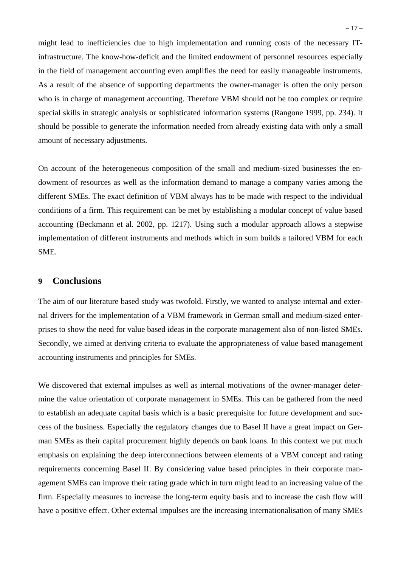might lead to inefficiencies due to high implementation and running costs of the necessary ITinfrastructure. The know-how-deficit and the limited endowment of personnel resources especially in the field of management accounting even amplifies the need for easily manageable instruments. As a result of the absence of supporting departments the owner-manager is often the only person who is in charge of management accounting. Therefore VBM should not be too complex or require special skills in strategic analysis or sophisticated information systems (Rangone 1999, pp. 234). It should be possible to generate the information needed from already existing data with only a small amount of necessary adjustments.

On account of the heterogeneous composition of the small and medium-sized businesses the endowment of resources as well as the information demand to manage a company varies among the different SMEs. The exact definition of VBM always has to be made with respect to the individual conditions of a firm. This requirement can be met by establishing a modular concept of value based accounting (Beckmann et al. 2002, pp. 1217). Using such a modular approach allows a stepwise implementation of different instruments and methods which in sum builds a tailored VBM for each SME.

### **9 Conclusions**

The aim of our literature based study was twofold. Firstly, we wanted to analyse internal and external drivers for the implementation of a VBM framework in German small and medium-sized enterprises to show the need for value based ideas in the corporate management also of non-listed SMEs. Secondly, we aimed at deriving criteria to evaluate the appropriateness of value based management accounting instruments and principles for SMEs.

We discovered that external impulses as well as internal motivations of the owner-manager determine the value orientation of corporate management in SMEs. This can be gathered from the need to establish an adequate capital basis which is a basic prerequisite for future development and success of the business. Especially the regulatory changes due to Basel II have a great impact on German SMEs as their capital procurement highly depends on bank loans. In this context we put much emphasis on explaining the deep interconnections between elements of a VBM concept and rating requirements concerning Basel II. By considering value based principles in their corporate management SMEs can improve their rating grade which in turn might lead to an increasing value of the firm. Especially measures to increase the long-term equity basis and to increase the cash flow will have a positive effect. Other external impulses are the increasing internationalisation of many SMEs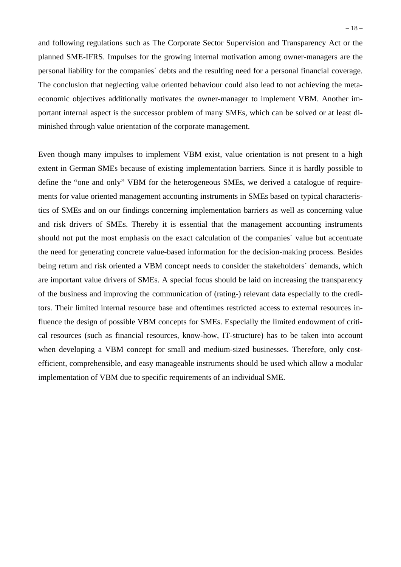and following regulations such as The Corporate Sector Supervision and Transparency Act or the planned SME-IFRS. Impulses for the growing internal motivation among owner-managers are the personal liability for the companies´ debts and the resulting need for a personal financial coverage. The conclusion that neglecting value oriented behaviour could also lead to not achieving the metaeconomic objectives additionally motivates the owner-manager to implement VBM. Another important internal aspect is the successor problem of many SMEs, which can be solved or at least diminished through value orientation of the corporate management.

Even though many impulses to implement VBM exist, value orientation is not present to a high extent in German SMEs because of existing implementation barriers. Since it is hardly possible to define the "one and only" VBM for the heterogeneous SMEs, we derived a catalogue of requirements for value oriented management accounting instruments in SMEs based on typical characteristics of SMEs and on our findings concerning implementation barriers as well as concerning value and risk drivers of SMEs. Thereby it is essential that the management accounting instruments should not put the most emphasis on the exact calculation of the companies´ value but accentuate the need for generating concrete value-based information for the decision-making process. Besides being return and risk oriented a VBM concept needs to consider the stakeholders´ demands, which are important value drivers of SMEs. A special focus should be laid on increasing the transparency of the business and improving the communication of (rating-) relevant data especially to the creditors. Their limited internal resource base and oftentimes restricted access to external resources influence the design of possible VBM concepts for SMEs. Especially the limited endowment of critical resources (such as financial resources, know-how, IT-structure) has to be taken into account when developing a VBM concept for small and medium-sized businesses. Therefore, only costefficient, comprehensible, and easy manageable instruments should be used which allow a modular implementation of VBM due to specific requirements of an individual SME.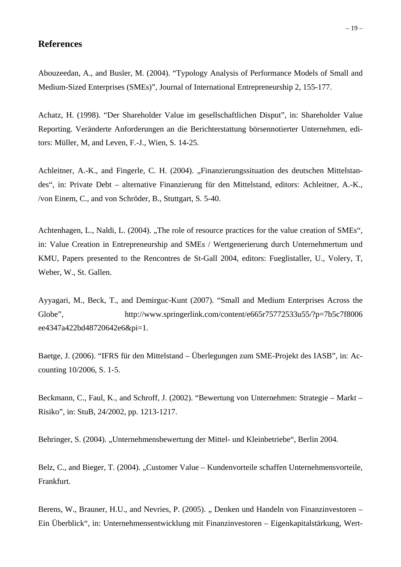## **References**

Abouzeedan, A., and Busler, M. (2004). "Typology Analysis of Performance Models of Small and Medium-Sized Enterprises (SMEs)", Journal of International Entrepreneurship 2, 155-177.

Achatz, H. (1998). "Der Shareholder Value im gesellschaftlichen Disput", in: Shareholder Value Reporting. Veränderte Anforderungen an die Berichterstattung börsennotierter Unternehmen, editors: Müller, M, and Leven, F.-J., Wien, S. 14-25.

Achleitner, A.-K., and Fingerle, C. H. (2004). "Finanzierungssituation des deutschen Mittelstandes", in: Private Debt – alternative Finanzierung für den Mittelstand, editors: Achleitner, A.-K., /von Einem, C., and von Schröder, B., Stuttgart, S. 5-40.

Achtenhagen, L., Naldi, L. (2004). "The role of resource practices for the value creation of SMEs", in: Value Creation in Entrepreneurship and SMEs / Wertgenerierung durch Unternehmertum und KMU, Papers presented to the Rencontres de St-Gall 2004, editors: Fueglistaller, U., Volery, T, Weber, W., St. Gallen.

Ayyagari, M., Beck, T., and Demirguc-Kunt (2007). "Small and Medium Enterprises Across the Globe", http://www.springerlink.com/content/e665r75772533u55/?p=7b5c7f8006 ee4347a422bd48720642e6&pi=1.

Baetge, J. (2006). "IFRS für den Mittelstand – Überlegungen zum SME-Projekt des IASB", in: Accounting 10/2006, S. 1-5.

Beckmann, C., Faul, K., and Schroff, J. (2002). "Bewertung von Unternehmen: Strategie – Markt – Risiko", in: StuB, 24/2002, pp. 1213-1217.

Behringer, S. (2004). "Unternehmensbewertung der Mittel- und Kleinbetriebe", Berlin 2004.

Belz, C., and Bieger, T. (2004). "Customer Value – Kundenvorteile schaffen Unternehmensvorteile, Frankfurt.

Berens, W., Brauner, H.U., and Nevries, P. (2005). "Denken und Handeln von Finanzinvestoren – Ein Überblick", in: Unternehmensentwicklung mit Finanzinvestoren – Eigenkapitalstärkung, Wert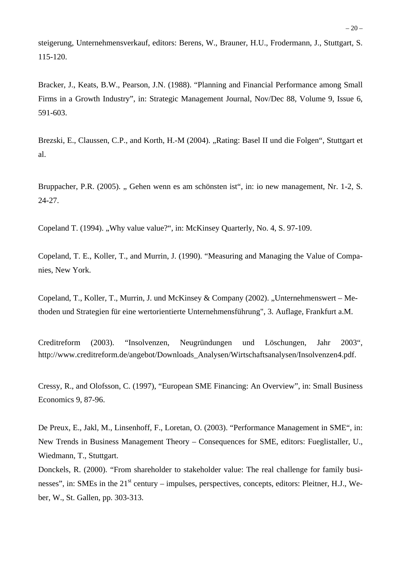steigerung, Unternehmensverkauf, editors: Berens, W., Brauner, H.U., Frodermann, J., Stuttgart, S. 115-120.

Bracker, J., Keats, B.W., Pearson, J.N. (1988). "Planning and Financial Performance among Small Firms in a Growth Industry", in: Strategic Management Journal, Nov/Dec 88, Volume 9, Issue 6, 591-603.

Brezski, E., Claussen, C.P., and Korth, H.-M (2004). "Rating: Basel II und die Folgen", Stuttgart et al.

Bruppacher, P.R. (2005). "Gehen wenn es am schönsten ist", in: io new management, Nr. 1-2, S. 24-27.

Copeland T. (1994). "Why value value?", in: McKinsey Quarterly, No. 4, S. 97-109.

Copeland, T. E., Koller, T., and Murrin, J. (1990). "Measuring and Managing the Value of Companies, New York.

Copeland, T., Koller, T., Murrin, J. und McKinsey & Company (2002). "Unternehmenswert – Methoden und Strategien für eine wertorientierte Unternehmensführung", 3. Auflage, Frankfurt a.M.

Creditreform (2003). "Insolvenzen, Neugründungen und Löschungen, Jahr 2003", http://www.creditreform.de/angebot/Downloads\_Analysen/Wirtschaftsanalysen/Insolvenzen4.pdf.

Cressy, R., and Olofsson, C. (1997), "European SME Financing: An Overview", in: Small Business Economics 9, 87-96.

De Preux, E., Jakl, M., Linsenhoff, F., Loretan, O. (2003). "Performance Management in SME", in: New Trends in Business Management Theory – Consequences for SME, editors: Fueglistaller, U., Wiedmann, T., Stuttgart.

Donckels, R. (2000). "From shareholder to stakeholder value: The real challenge for family businesses", in: SMEs in the  $21<sup>st</sup>$  century – impulses, perspectives, concepts, editors: Pleitner, H.J., Weber, W., St. Gallen, pp. 303-313.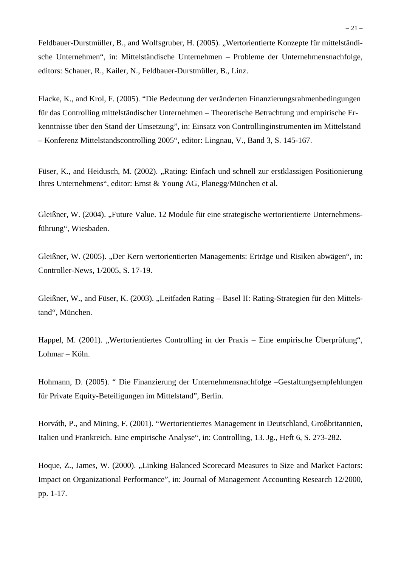Feldbauer-Durstmüller, B., and Wolfsgruber, H. (2005). "Wertorientierte Konzepte für mittelständische Unternehmen", in: Mittelständische Unternehmen – Probleme der Unternehmensnachfolge, editors: Schauer, R., Kailer, N., Feldbauer-Durstmüller, B., Linz.

Flacke, K., and Krol, F. (2005). "Die Bedeutung der veränderten Finanzierungsrahmenbedingungen für das Controlling mittelständischer Unternehmen – Theoretische Betrachtung und empirische Erkenntnisse über den Stand der Umsetzung", in: Einsatz von Controllinginstrumenten im Mittelstand – Konferenz Mittelstandscontrolling 2005", editor: Lingnau, V., Band 3, S. 145-167.

Füser, K., and Heidusch, M. (2002). "Rating: Einfach und schnell zur erstklassigen Positionierung Ihres Unternehmens", editor: Ernst & Young AG, Planegg/München et al.

Gleißner, W. (2004). "Future Value. 12 Module für eine strategische wertorientierte Unternehmensführung", Wiesbaden.

Gleißner, W. (2005). "Der Kern wertorientierten Managements: Erträge und Risiken abwägen", in: Controller-News, 1/2005, S. 17-19.

Gleißner, W., and Füser, K. (2003). "Leitfaden Rating – Basel II: Rating-Strategien für den Mittelstand", München.

Happel, M. (2001). "Wertorientiertes Controlling in der Praxis – Eine empirische Überprüfung", Lohmar – Köln.

Hohmann, D. (2005). " Die Finanzierung der Unternehmensnachfolge –Gestaltungsempfehlungen für Private Equity-Beteiligungen im Mittelstand", Berlin.

Horváth, P., and Mining, F. (2001). "Wertorientiertes Management in Deutschland, Großbritannien, Italien und Frankreich. Eine empirische Analyse", in: Controlling, 13. Jg., Heft 6, S. 273-282.

Hoque, Z., James, W. (2000). "Linking Balanced Scorecard Measures to Size and Market Factors: Impact on Organizational Performance", in: Journal of Management Accounting Research 12/2000, pp. 1-17.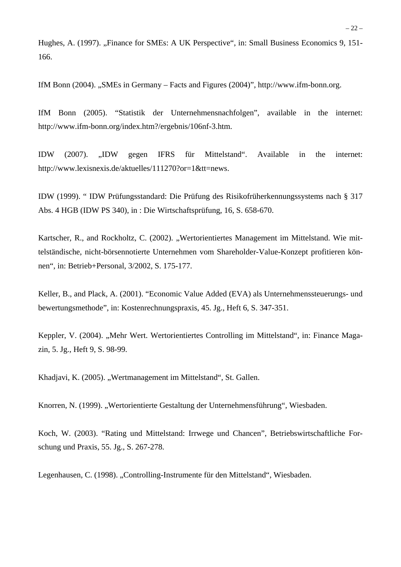Hughes, A. (1997). "Finance for SMEs: A UK Perspective", in: Small Business Economics 9, 151-166.

IfM Bonn (2004). "SMEs in Germany – Facts and Figures (2004)", http://www.ifm-bonn.org.

IfM Bonn (2005). "Statistik der Unternehmensnachfolgen", available in the internet: http://www.ifm-bonn.org/index.htm?/ergebnis/106nf-3.htm.

IDW (2007). "IDW gegen IFRS für Mittelstand". Available in the internet: http://www.lexisnexis.de/aktuelles/111270?or=1&tt=news.

IDW (1999). " IDW Prüfungsstandard: Die Prüfung des Risikofrüherkennungssystems nach § 317 Abs. 4 HGB (IDW PS 340), in : Die Wirtschaftsprüfung, 16, S. 658-670.

Kartscher, R., and Rockholtz, C. (2002). "Wertorientiertes Management im Mittelstand. Wie mittelständische, nicht-börsennotierte Unternehmen vom Shareholder-Value-Konzept profitieren können", in: Betrieb+Personal, 3/2002, S. 175-177.

Keller, B., and Plack, A. (2001). "Economic Value Added (EVA) als Unternehmenssteuerungs- und bewertungsmethode", in: Kostenrechnungspraxis, 45. Jg., Heft 6, S. 347-351.

Keppler, V. (2004). "Mehr Wert. Wertorientiertes Controlling im Mittelstand", in: Finance Magazin, 5. Jg., Heft 9, S. 98-99.

Khadjavi, K. (2005). "Wertmanagement im Mittelstand", St. Gallen.

Knorren, N. (1999). "Wertorientierte Gestaltung der Unternehmensführung", Wiesbaden.

Koch, W. (2003). "Rating und Mittelstand: Irrwege und Chancen", Betriebswirtschaftliche Forschung und Praxis, 55. Jg., S. 267-278.

Legenhausen, C. (1998). "Controlling-Instrumente für den Mittelstand", Wiesbaden.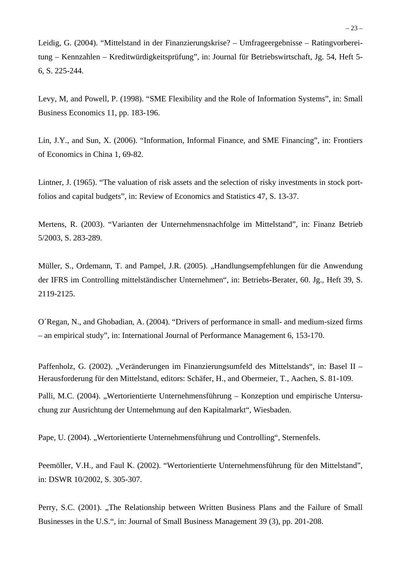Leidig, G. (2004). "Mittelstand in der Finanzierungskrise? – Umfrageergebnisse – Ratingvorbereitung – Kennzahlen – Kreditwürdigkeitsprüfung", in: Journal für Betriebswirtschaft, Jg. 54, Heft 5- 6, S. 225-244.

Levy, M, and Powell, P. (1998). "SME Flexibility and the Role of Information Systems", in: Small Business Economics 11, pp. 183-196.

Lin, J.Y., and Sun, X. (2006). "Information, Informal Finance, and SME Financing", in: Frontiers of Economics in China 1, 69-82.

Lintner, J. (1965). "The valuation of risk assets and the selection of risky investments in stock portfolios and capital budgets", in: Review of Economics and Statistics 47, S. 13-37.

Mertens, R. (2003). "Varianten der Unternehmensnachfolge im Mittelstand", in: Finanz Betrieb 5/2003, S. 283-289.

Müller, S., Ordemann, T. and Pampel, J.R. (2005). "Handlungsempfehlungen für die Anwendung der IFRS im Controlling mittelständischer Unternehmen", in: Betriebs-Berater, 60. Jg., Heft 39, S. 2119-2125.

O´Regan, N., and Ghobadian, A. (2004). "Drivers of performance in small- and medium-sized firms – an empirical study", in: International Journal of Performance Management 6, 153-170.

Paffenholz, G. (2002). "Veränderungen im Finanzierungsumfeld des Mittelstands", in: Basel II – Herausforderung für den Mittelstand, editors: Schäfer, H., and Obermeier, T., Aachen, S. 81-109.

Palli, M.C. (2004). "Wertorientierte Unternehmensführung – Konzeption und empirische Untersuchung zur Ausrichtung der Unternehmung auf den Kapitalmarkt", Wiesbaden.

Pape, U. (2004). "Wertorientierte Unternehmensführung und Controlling", Sternenfels.

Peemöller, V.H., and Faul K. (2002). "Wertorientierte Unternehmensführung für den Mittelstand", in: DSWR 10/2002, S. 305-307.

Perry, S.C. (2001). "The Relationship between Written Business Plans and the Failure of Small Businesses in the U.S.", in: Journal of Small Business Management 39 (3), pp. 201-208.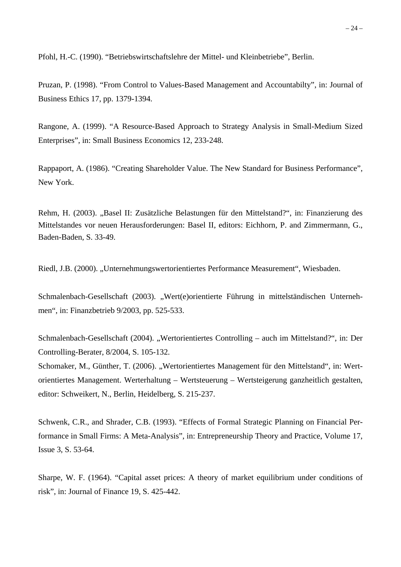Pfohl, H.-C. (1990). "Betriebswirtschaftslehre der Mittel- und Kleinbetriebe", Berlin.

Pruzan, P. (1998). "From Control to Values-Based Management and Accountabilty", in: Journal of Business Ethics 17, pp. 1379-1394.

Rangone, A. (1999). "A Resource-Based Approach to Strategy Analysis in Small-Medium Sized Enterprises", in: Small Business Economics 12, 233-248.

Rappaport, A. (1986). "Creating Shareholder Value. The New Standard for Business Performance", New York.

Rehm, H. (2003). "Basel II: Zusätzliche Belastungen für den Mittelstand?", in: Finanzierung des Mittelstandes vor neuen Herausforderungen: Basel II, editors: Eichhorn, P. and Zimmermann, G., Baden-Baden, S. 33-49.

Riedl, J.B. (2000). "Unternehmungswertorientiertes Performance Measurement", Wiesbaden.

Schmalenbach-Gesellschaft (2003). "Wert(e)orientierte Führung in mittelständischen Unternehmen", in: Finanzbetrieb 9/2003, pp. 525-533.

Schmalenbach-Gesellschaft (2004). "Wertorientiertes Controlling – auch im Mittelstand?", in: Der Controlling-Berater, 8/2004, S. 105-132.

Schomaker, M., Günther, T. (2006). "Wertorientiertes Management für den Mittelstand", in: Wertorientiertes Management. Werterhaltung – Wertsteuerung – Wertsteigerung ganzheitlich gestalten, editor: Schweikert, N., Berlin, Heidelberg, S. 215-237.

Schwenk, C.R., and Shrader, C.B. (1993). "Effects of Formal Strategic Planning on Financial Performance in Small Firms: A Meta-Analysis", in: Entrepreneurship Theory and Practice, Volume 17, Issue 3, S. 53-64.

Sharpe, W. F. (1964). "Capital asset prices: A theory of market equilibrium under conditions of risk", in: Journal of Finance 19, S. 425-442.